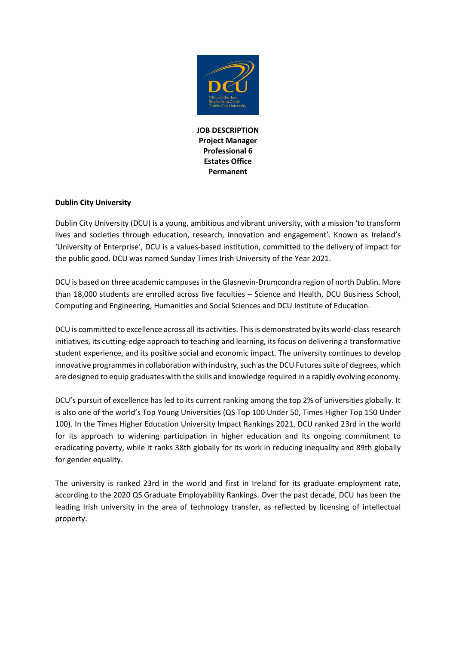

**JOB DESCRIPTION Project Manager Professional 6 Estates Office Permanent**

# **Dublin City University**

Dublin City University (DCU) is a young, ambitious and vibrant university, with a mission 'to transform lives and societies through education, research, innovation and engagement'. Known as Ireland's 'University of Enterprise', DCU is a values-based institution, committed to the delivery of impact for the public good. DCU was named Sunday Times Irish University of the Year 2021.

DCU is based on three academic campuses in the Glasnevin-Drumcondra region of north Dublin. More than 18,000 students are enrolled across five faculties – Science and Health, DCU Business School, Computing and Engineering, Humanities and Social Sciences and DCU Institute of Education.

DCU is committed to excellence across all its activities. This is demonstrated by its world-class research initiatives, its cutting-edge approach to teaching and learning, its focus on delivering a transformative student experience, and its positive social and economic impact. The university continues to develop innovative programmes in collaboration with industry, such as the DCU Futures suite of degrees, which are designed to equip graduates with the skills and knowledge required in a rapidly evolving economy.

DCU's pursuit of excellence has led to its current ranking among the top 2% of universities globally. It is also one of the world's Top Young Universities (QS Top 100 Under 50, Times Higher Top 150 Under 100). In the Times Higher Education University Impact Rankings 2021, DCU ranked 23rd in the world for its approach to widening participation in higher education and its ongoing commitment to eradicating poverty, while it ranks 38th globally for its work in reducing inequality and 89th globally for gender equality.

The university is ranked 23rd in the world and first in Ireland for its graduate employment rate, according to the 2020 QS Graduate Employability Rankings. Over the past decade, DCU has been the leading Irish university in the area of technology transfer, as reflected by licensing of intellectual property.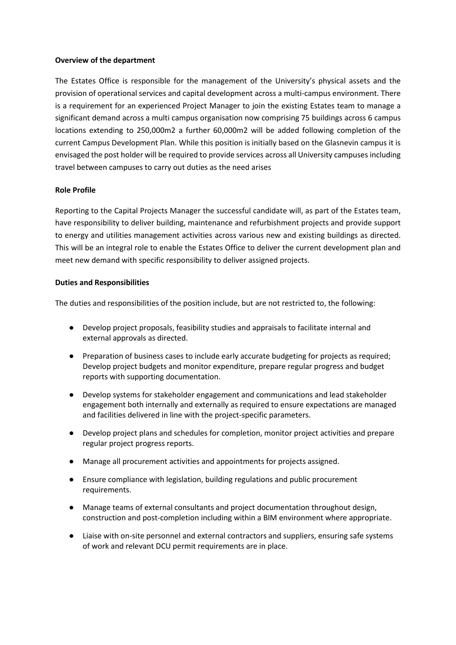### **Overview of the department**

The Estates Office is responsible for the management of the University's physical assets and the provision of operational services and capital development across a multi-campus environment. There is a requirement for an experienced Project Manager to join the existing Estates team to manage a significant demand across a multi campus organisation now comprising 75 buildings across 6 campus locations extending to 250,000m2 a further 60,000m2 will be added following completion of the current Campus Development Plan. While this position is initially based on the Glasnevin campus it is envisaged the post holder will be required to provide services across all University campuses including travel between campuses to carry out duties as the need arises

### **Role Profile**

Reporting to the Capital Projects Manager the successful candidate will, as part of the Estates team, have responsibility to deliver building, maintenance and refurbishment projects and provide support to energy and utilities management activities across various new and existing buildings as directed. This will be an integral role to enable the Estates Office to deliver the current development plan and meet new demand with specific responsibility to deliver assigned projects.

### **Duties and Responsibilities**

The duties and responsibilities of the position include, but are not restricted to, the following:

- Develop project proposals, feasibility studies and appraisals to facilitate internal and external approvals as directed.
- Preparation of business cases to include early accurate budgeting for projects as required; Develop project budgets and monitor expenditure, prepare regular progress and budget reports with supporting documentation.
- Develop systems for stakeholder engagement and communications and lead stakeholder engagement both internally and externally as required to ensure expectations are managed and facilities delivered in line with the project-specific parameters.
- Develop project plans and schedules for completion, monitor project activities and prepare regular project progress reports.
- Manage all procurement activities and appointments for projects assigned.
- Ensure compliance with legislation, building regulations and public procurement requirements.
- Manage teams of external consultants and project documentation throughout design, construction and post-completion including within a BIM environment where appropriate.
- Liaise with on-site personnel and external contractors and suppliers, ensuring safe systems of work and relevant DCU permit requirements are in place.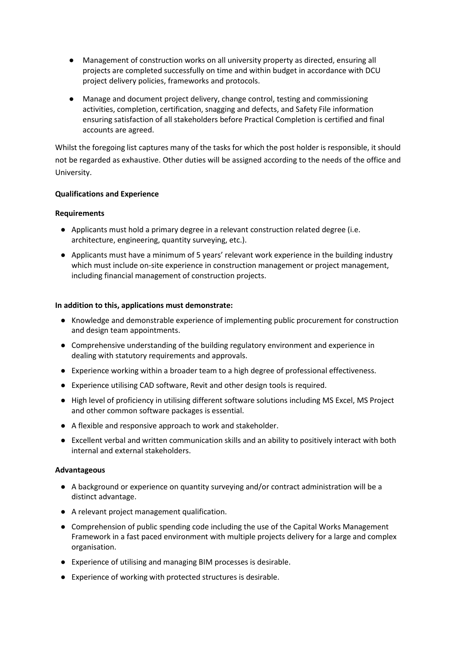- Management of construction works on all university property as directed, ensuring all projects are completed successfully on time and within budget in accordance with DCU project delivery policies, frameworks and protocols.
- Manage and document project delivery, change control, testing and commissioning activities, completion, certification, snagging and defects, and Safety File information ensuring satisfaction of all stakeholders before Practical Completion is certified and final accounts are agreed.

Whilst the foregoing list captures many of the tasks for which the post holder is responsible, it should not be regarded as exhaustive. Other duties will be assigned according to the needs of the office and University.

### **Qualifications and Experience**

### **Requirements**

- Applicants must hold a primary degree in a relevant construction related degree (i.e. architecture, engineering, quantity surveying, etc.).
- Applicants must have a minimum of 5 years' relevant work experience in the building industry which must include on-site experience in construction management or project management, including financial management of construction projects.

### **In addition to this, applications must demonstrate:**

- Knowledge and demonstrable experience of implementing public procurement for construction and design team appointments.
- Comprehensive understanding of the building regulatory environment and experience in dealing with statutory requirements and approvals.
- Experience working within a broader team to a high degree of professional effectiveness.
- Experience utilising CAD software, Revit and other design tools is required.
- High level of proficiency in utilising different software solutions including MS Excel, MS Project and other common software packages is essential.
- A flexible and responsive approach to work and stakeholder.
- Excellent verbal and written communication skills and an ability to positively interact with both internal and external stakeholders.

### **Advantageous**

- A background or experience on quantity surveying and/or contract administration will be a distinct advantage.
- A relevant project management qualification.
- Comprehension of public spending code including the use of the Capital Works Management Framework in a fast paced environment with multiple projects delivery for a large and complex organisation.
- Experience of utilising and managing BIM processes is desirable.
- Experience of working with protected structures is desirable.